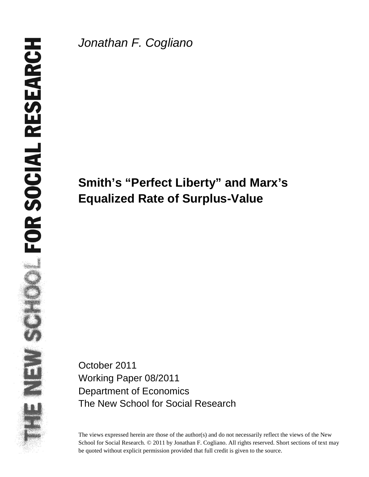Jonathan F. Cogliano

# **Smith's "Perfect Liberty" and Marx's Equalized Rate of Surplus-Value**

October 2011 Working Paper 08/2011 Department of Economics The New School for Social Research

The views expressed herein are those of the author(s) and do not necessarily reflect the views of the New School for Social Research. © 2011 by Jonathan F. Cogliano. All rights reserved. Short sections of text may be quoted without explicit permission provided that full credit is given to the source.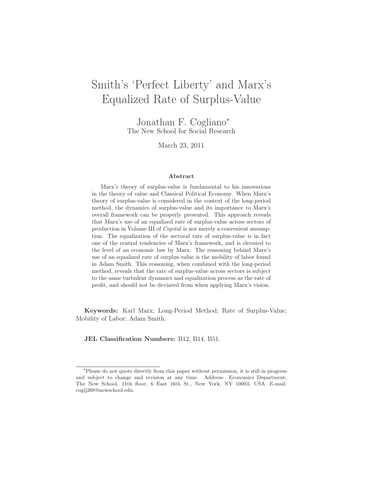## Smith's 'Perfect Liberty' and Marx's Equalized Rate of Surplus-Value

Jonathan F. Cogliano<sup>∗</sup> The New School for Social Research

March 23, 2011

#### Abstract

Marx's theory of surplus-value is fundamental to his innovations in the theory of value and Classical Political Economy. When Marx's theory of surplus-value is considered in the context of the long-period method, the dynamics of surplus-value and its importance to Marx's overall framework can be properly presented. This approach reveals that Marx's use of an equalized rate of surplus-value across sectors of production in Volume III of Capital is not merely a convenient assumption. The equalization of the sectoral rate of surplus-value is in fact one of the central tendencies of Marx's framework, and is elevated to the level of an economic law by Marx. The reasoning behind Marx's use of an equalized rate of surplus-value is the mobility of labor found in Adam Smith. This reasoning, when combined with the long-period method, reveals that the rate of surplus-value across sectors is subject to the same turbulent dynamics and equalization process as the rate of profit, and should not be deviated from when applying Marx's vision.

Keywords: Karl Marx; Long-Period Method; Rate of Surplus-Value; Mobility of Labor; Adam Smith.

JEL Classification Numbers: B12, B14, B51.

<sup>∗</sup>Please do not quote directly from this paper without permission, it is still in progress and subject to change and revision at any time. Address: Economics Department, The New School, 11th floor, 6 East 16th St., New York, NY 10003, USA. E-mail: coglj268@newschool.edu.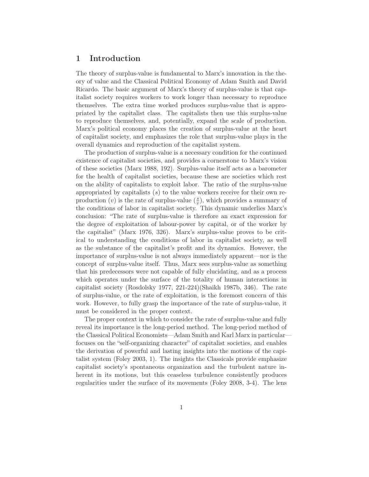### 1 Introduction

The theory of surplus-value is fundamental to Marx's innovation in the theory of value and the Classical Political Economy of Adam Smith and David Ricardo. The basic argument of Marx's theory of surplus-value is that capitalist society requires workers to work longer than necessary to reproduce themselves. The extra time worked produces surplus-value that is appropriated by the capitalist class. The capitalists then use this surplus-value to reproduce themselves, and, potentially, expand the scale of production. Marx's political economy places the creation of surplus-value at the heart of capitalist society, and emphasizes the role that surplus-value plays in the overall dynamics and reproduction of the capitalist system.

The production of surplus-value is a necessary condition for the continued existence of capitalist societies, and provides a cornerstone to Marx's vision of these societies (Marx 1988, 192). Surplus-value itself acts as a barometer for the health of capitalist societies, because these are societies which rest on the ability of capitalists to exploit labor. The ratio of the surplus-value appropriated by capitalists  $(s)$  to the value workers receive for their own reproduction (*v*) is the rate of surplus-value  $(\frac{s}{v})$ , which provides a summary of the conditions of labor in capitalist society. This dynamic underlies Marx's conclusion: "The rate of surplus-value is therefore an exact expression for the degree of exploitation of labour-power by capital, or of the worker by the capitalist" (Marx 1976, 326). Marx's surplus-value proves to be critical to understanding the conditions of labor in capitalist society, as well as the substance of the capitalist's profit and its dynamics. However, the importance of surplus-value is not always immediately apparent—nor is the concept of surplus-value itself. Thus, Marx sees surplus-value as something that his predecessors were not capable of fully elucidating, and as a process which operates under the surface of the totality of human interactions in capitalist society (Rosdolsky 1977, 221-224)(Shaikh 1987b, 346). The rate of surplus-value, or the rate of exploitation, is the foremost concern of this work. However, to fully grasp the importance of the rate of surplus-value, it must be considered in the proper context.

The proper context in which to consider the rate of surplus-value and fully reveal its importance is the long-period method. The long-period method of the Classical Political Economists—Adam Smith and Karl Marx in particular focuses on the "self-organizing character" of capitalist societies, and enables the derivation of powerful and lasting insights into the motions of the capitalist system (Foley 2003, 1). The insights the Classicals provide emphasize capitalist society's spontaneous organization and the turbulent nature inherent in its motions, but this ceaseless turbulence consistently produces regularities under the surface of its movements (Foley 2008, 3-4). The lens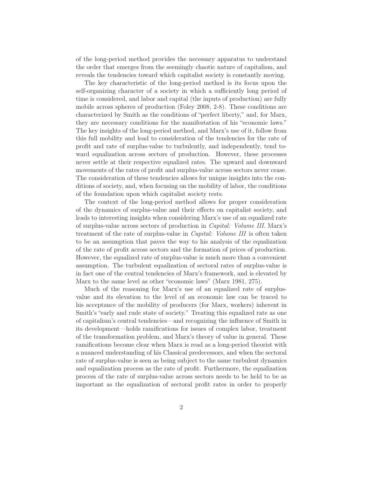of the long-period method provides the necessary apparatus to understand the order that emerges from the seemingly chaotic nature of capitalism, and reveals the tendencies toward which capitalist society is constantly moving.

The key characteristic of the long-period method is its focus upon the self-organizing character of a society in which a sufficiently long period of time is considered, and labor and capital (the inputs of production) are fully mobile across spheres of production (Foley 2008, 2-8). These conditions are characterized by Smith as the conditions of "perfect liberty," and, for Marx, they are necessary conditions for the manifestation of his "economic laws." The key insights of the long-period method, and Marx's use of it, follow from this full mobility and lead to consideration of the tendencies for the rate of profit and rate of surplus-value to turbulently, and independently, tend toward equalization across sectors of production. However, these processes never settle at their respective equalized rates. The upward and downward movements of the rates of profit and surplus-value across sectors never cease. The consideration of these tendencies allows for unique insights into the conditions of society, and, when focusing on the mobility of labor, the conditions of the foundation upon which capitalist society rests.

The context of the long-period method allows for proper consideration of the dynamics of surplus-value and their effects on capitalist society, and leads to interesting insights when considering Marx's use of an equalized rate of surplus-value across sectors of production in Capital: Volume III. Marx's treatment of the rate of surplus-value in *Capital: Volume III* is often taken to be an assumption that paves the way to his analysis of the equalization of the rate of profit across sectors and the formation of prices of production. However, the equalized rate of surplus-value is much more than a convenient assumption. The turbulent equalization of sectoral rates of surplus-value is in fact one of the central tendencies of Marx's framework, and is elevated by Marx to the same level as other "economic laws" (Marx 1981, 275).

Much of the reasoning for Marx's use of an equalized rate of surplusvalue and its elevation to the level of an economic law can be traced to his acceptance of the mobility of producers (for Marx, workers) inherent in Smith's "early and rude state of society." Treating this equalized rate as one of capitalism's central tendencies—and recognizing the influence of Smith in its development—holds ramifications for issues of complex labor, treatment of the transformation problem, and Marx's theory of value in general. These ramifications become clear when Marx is read as a long-period theorist with a nuanced understanding of his Classical predecessors, and when the sectoral rate of surplus-value is seen as being subject to the same turbulent dynamics and equalization process as the rate of profit. Furthermore, the equalization process of the rate of surplus-value across sectors needs to be held to be as important as the equalization of sectoral profit rates in order to properly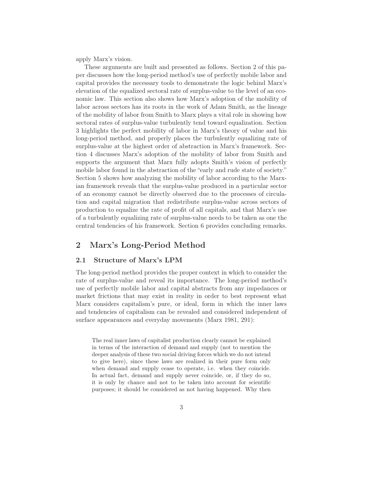apply Marx's vision.

These arguments are built and presented as follows. Section 2 of this paper discusses how the long-period method's use of perfectly mobile labor and capital provides the necessary tools to demonstrate the logic behind Marx's elevation of the equalized sectoral rate of surplus-value to the level of an economic law. This section also shows how Marx's adoption of the mobility of labor across sectors has its roots in the work of Adam Smith, as the lineage of the mobility of labor from Smith to Marx plays a vital role in showing how sectoral rates of surplus-value turbulently tend toward equalization. Section 3 highlights the perfect mobility of labor in Marx's theory of value and his long-period method, and properly places the turbulently equalizing rate of surplus-value at the highest order of abstraction in Marx's framework. Section 4 discusses Marx's adoption of the mobility of labor from Smith and supports the argument that Marx fully adopts Smith's vision of perfectly mobile labor found in the abstraction of the "early and rude state of society." Section 5 shows how analyzing the mobility of labor according to the Marxian framework reveals that the surplus-value produced in a particular sector of an economy cannot be directly observed due to the processes of circulation and capital migration that redistribute surplus-value across sectors of production to equalize the rate of profit of all capitals, and that Marx's use of a turbulently equalizing rate of surplus-value needs to be taken as one the central tendencies of his framework. Section 6 provides concluding remarks.

## 2 Marx's Long-Period Method

#### 2.1 Structure of Marx's LPM

The long-period method provides the proper context in which to consider the rate of surplus-value and reveal its importance. The long-period method's use of perfectly mobile labor and capital abstracts from any impedances or market frictions that may exist in reality in order to best represent what Marx considers capitalism's pure, or ideal, form in which the inner laws and tendencies of capitalism can be revealed and considered independent of surface appearances and everyday movements (Marx 1981, 291):

The real inner laws of capitalist production clearly cannot be explained in terms of the interaction of demand and supply (not to mention the deeper analysis of these two social driving forces which we do not intend to give here), since these laws are realized in their pure form only when demand and supply cease to operate, i.e. when they coincide. In actual fact, demand and supply never coincide, or, if they do so, it is only by chance and not to be taken into account for scientific purposes; it should be considered as not having happened. Why then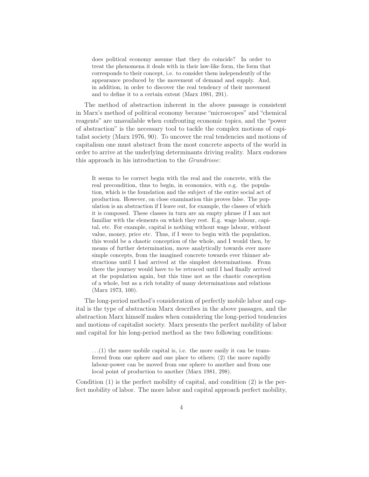does political economy assume that they do coincide? In order to treat the phenomena it deals with in their law-like form, the form that corresponds to their concept, i.e. to consider them independently of the appearance produced by the movement of demand and supply. And, in addition, in order to discover the real tendency of their movement and to define it to a certain extent (Marx 1981, 291).

The method of abstraction inherent in the above passage is consistent in Marx's method of political economy because "microscopes" and "chemical reagents" are unavailable when confronting economic topics, and the "power of abstraction" is the necessary tool to tackle the complex motions of capitalist society (Marx 1976, 90). To uncover the real tendencies and motions of capitalism one must abstract from the most concrete aspects of the world in order to arrive at the underlying determinants driving reality. Marx endorses this approach in his introduction to the Grundrisse:

It seems to be correct begin with the real and the concrete, with the real precondition, thus to begin, in economics, with e.g. the population, which is the foundation and the subject of the entire social act of production. However, on close examination this proves false. The population is an abstraction if I leave out, for example, the classes of which it is composed. These classes in turn are an empty phrase if I am not familiar with the elements on which they rest. E.g. wage labour, capital, etc. For example, capital is nothing without wage labour, without value, money, price etc. Thus, if I were to begin with the population, this would be a chaotic conception of the whole, and I would then, by means of further determination, move analytically towards ever more simple concepts, from the imagined concrete towards ever thinner abstractions until I had arrived at the simplest determinations. From there the journey would have to be retraced until I had finally arrived at the population again, but this time not as the chaotic conception of a whole, but as a rich totality of many determinations and relations (Marx 1973, 100).

The long-period method's consideration of perfectly mobile labor and capital is the type of abstraction Marx describes in the above passages, and the abstraction Marx himself makes when considering the long-period tendencies and motions of capitalist society. Marx presents the perfect mobility of labor and capital for his long-period method as the two following conditions:

. ..(1) the more mobile capital is, i.e. the more easily it can be transferred from one sphere and one place to others; (2) the more rapidly labour-power can be moved from one sphere to another and from one local point of production to another (Marx 1981, 298).

Condition  $(1)$  is the perfect mobility of capital, and condition  $(2)$  is the perfect mobility of labor. The more labor and capital approach perfect mobility,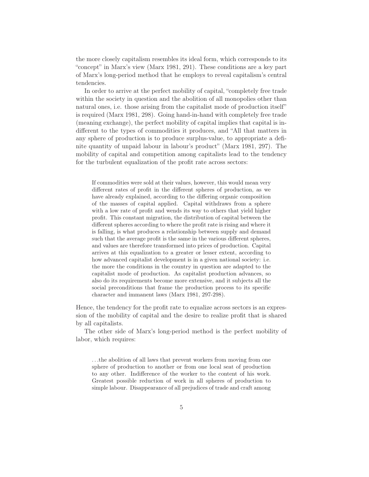the more closely capitalism resembles its ideal form, which corresponds to its "concept" in Marx's view (Marx 1981, 291). These conditions are a key part of Marx's long-period method that he employs to reveal capitalism's central tendencies.

In order to arrive at the perfect mobility of capital, "completely free trade within the society in question and the abolition of all monopolies other than natural ones, i.e. those arising from the capitalist mode of production itself" is required (Marx 1981, 298). Going hand-in-hand with completely free trade (meaning exchange), the perfect mobility of capital implies that capital is indifferent to the types of commodities it produces, and "All that matters in any sphere of production is to produce surplus-value, to appropriate a definite quantity of unpaid labour in labour's product" (Marx 1981, 297). The mobility of capital and competition among capitalists lead to the tendency for the turbulent equalization of the profit rate across sectors:

If commodities were sold at their values, however, this would mean very different rates of profit in the different spheres of production, as we have already explained, according to the differing organic composition of the masses of capital applied. Capital withdraws from a sphere with a low rate of profit and wends its way to others that yield higher profit. This constant migration, the distribution of capital between the different spheres according to where the profit rate is rising and where it is falling, is what produces a relationship between supply and demand such that the average profit is the same in the various different spheres, and values are therefore transformed into prices of production. Capital arrives at this equalization to a greater or lesser extent, according to how advanced capitalist development is in a given national society: i.e. the more the conditions in the country in question are adapted to the capitalist mode of production. As capitalist production advances, so also do its requirements become more extensive, and it subjects all the social preconditions that frame the production process to its specific character and immanent laws (Marx 1981, 297-298).

Hence, the tendency for the profit rate to equalize across sectors is an expression of the mobility of capital and the desire to realize profit that is shared by all capitalists.

The other side of Marx's long-period method is the perfect mobility of labor, which requires:

. ..the abolition of all laws that prevent workers from moving from one sphere of production to another or from one local seat of production to any other. Indifference of the worker to the content of his work. Greatest possible reduction of work in all spheres of production to simple labour. Disappearance of all prejudices of trade and craft among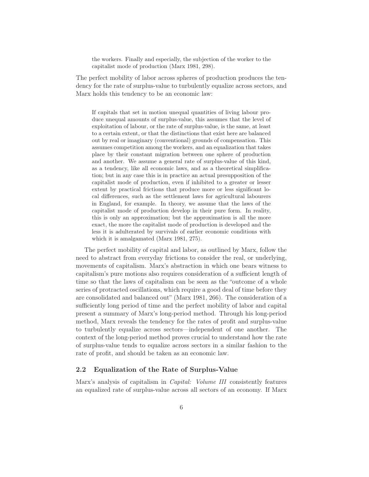the workers. Finally and especially, the subjection of the worker to the capitalist mode of production (Marx 1981, 298).

The perfect mobility of labor across spheres of production produces the tendency for the rate of surplus-value to turbulently equalize across sectors, and Marx holds this tendency to be an economic law:

If capitals that set in motion unequal quantities of living labour produce unequal amounts of surplus-value, this assumes that the level of exploitation of labour, or the rate of surplus-value, is the same, at least to a certain extent, or that the distinctions that exist here are balanced out by real or imaginary (conventional) grounds of compensation. This assumes competition among the workers, and an equalization that takes place by their constant migration between one sphere of production and another. We assume a general rate of surplus-value of this kind, as a tendency, like all economic laws, and as a theoretical simplification; but in any case this is in practice an actual presupposition of the capitalist mode of production, even if inhibited to a greater or lesser extent by practical frictions that produce more or less significant local differences, such as the settlement laws for agricultural labourers in England, for example. In theory, we assume that the laws of the capitalist mode of production develop in their pure form. In reality, this is only an approximation; but the approximation is all the more exact, the more the capitalist mode of production is developed and the less it is adulterated by survivals of earlier economic conditions with which it is amalgamated (Marx 1981, 275).

The perfect mobility of capital and labor, as outlined by Marx, follow the need to abstract from everyday frictions to consider the real, or underlying, movements of capitalism. Marx's abstraction in which one bears witness to capitalism's pure motions also requires consideration of a sufficient length of time so that the laws of capitalism can be seen as the "outcome of a whole series of protracted oscillations, which require a good deal of time before they are consolidated and balanced out" (Marx 1981, 266). The consideration of a sufficiently long period of time and the perfect mobility of labor and capital present a summary of Marx's long-period method. Through his long-period method, Marx reveals the tendency for the rates of profit and surplus-value to turbulently equalize across sectors—independent of one another. The context of the long-period method proves crucial to understand how the rate of surplus-value tends to equalize across sectors in a similar fashion to the rate of profit, and should be taken as an economic law.

#### 2.2 Equalization of the Rate of Surplus-Value

Marx's analysis of capitalism in Capital: Volume III consistently features an equalized rate of surplus-value across all sectors of an economy. If Marx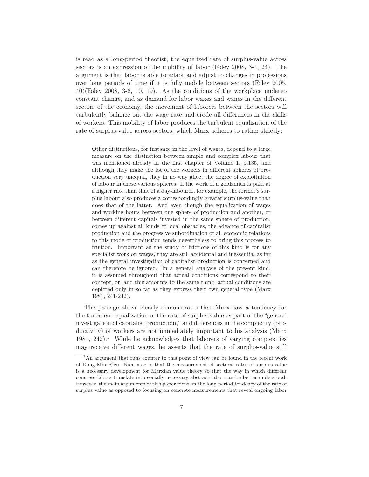is read as a long-period theorist, the equalized rate of surplus-value across sectors is an expression of the mobility of labor (Foley 2008, 3-4, 24). The argument is that labor is able to adapt and adjust to changes in professions over long periods of time if it is fully mobile between sectors (Foley 2005, 40)(Foley 2008, 3-6, 10, 19). As the conditions of the workplace undergo constant change, and as demand for labor waxes and wanes in the different sectors of the economy, the movement of laborers between the sectors will turbulently balance out the wage rate and erode all differences in the skills of workers. This mobility of labor produces the turbulent equalization of the rate of surplus-value across sectors, which Marx adheres to rather strictly:

Other distinctions, for instance in the level of wages, depend to a large measure on the distinction between simple and complex labour that was mentioned already in the first chapter of Volume 1, p.135, and although they make the lot of the workers in different spheres of production very unequal, they in no way affect the degree of exploitation of labour in these various spheres. If the work of a goldsmith is paid at a higher rate than that of a day-labourer, for example, the former's surplus labour also produces a correspondingly greater surplus-value than does that of the latter. And even though the equalization of wages and working hours between one sphere of production and another, or between different capitals invested in the same sphere of production, comes up against all kinds of local obstacles, the advance of capitalist production and the progressive subordination of all economic relations to this mode of production tends nevertheless to bring this process to fruition. Important as the study of frictions of this kind is for any specialist work on wages, they are still accidental and inessential as far as the general investigation of capitalist production is concerned and can therefore be ignored. In a general analysis of the present kind, it is assumed throughout that actual conditions correspond to their concept, or, and this amounts to the same thing, actual conditions are depicted only in so far as they express their own general type (Marx 1981, 241-242).

The passage above clearly demonstrates that Marx saw a tendency for the turbulent equalization of the rate of surplus-value as part of the "general investigation of capitalist production," and differences in the complexity (productivity) of workers are not immediately important to his analysis (Marx 1981, 242).<sup>1</sup> While he acknowledges that laborers of varying complexities may receive different wages, he asserts that the rate of surplus-value still

<sup>&</sup>lt;sup>1</sup>An argument that runs counter to this point of view can be found in the recent work of Dong-Min Rieu. Rieu asserts that the measurement of sectoral rates of surplus-value is a necessary development for Marxian value theory so that the way in which different concrete labors translate into socially necessary abstract labor can be better understood. However, the main arguments of this paper focus on the long-period tendency of the rate of surplus-value as opposed to focusing on concrete measurements that reveal ongoing labor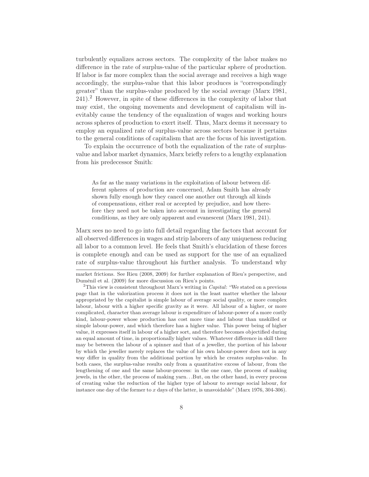turbulently equalizes across sectors. The complexity of the labor makes no difference in the rate of surplus-value of the particular sphere of production. If labor is far more complex than the social average and receives a high wage accordingly, the surplus-value that this labor produces is "correspondingly greater" than the surplus-value produced by the social average (Marx 1981, 241).<sup>2</sup> However, in spite of these differences in the complexity of labor that may exist, the ongoing movements and development of capitalism will inevitably cause the tendency of the equalization of wages and working hours across spheres of production to exert itself. Thus, Marx deems it necessary to employ an equalized rate of surplus-value across sectors because it pertains to the general conditions of capitalism that are the focus of his investigation.

To explain the occurrence of both the equalization of the rate of surplusvalue and labor market dynamics, Marx briefly refers to a lengthy explanation from his predecessor Smith:

As far as the many variations in the exploitation of labour between different spheres of production are concerned, Adam Smith has already shown fully enough how they cancel one another out through all kinds of compensations, either real or accepted by prejudice, and how therefore they need not be taken into account in investigating the general conditions, as they are only apparent and evanescent (Marx 1981, 241).

Marx sees no need to go into full detail regarding the factors that account for all observed differences in wages and strip laborers of any uniqueness reducing all labor to a common level. He feels that Smith's elucidation of these forces is complete enough and can be used as support for the use of an equalized rate of surplus-value throughout his further analysis. To understand why

market frictions. See Rieu (2008, 2009) for further explanation of Rieu's perspective, and Duménil et al. (2009) for more discussion on Rieu's points.

<sup>&</sup>lt;sup>2</sup>This view is consistent throughout Marx's writing in *Capital*: "We stated on a previous page that in the valorization process it does not in the least matter whether the labour appropriated by the capitalist is simple labour of average social quality, or more complex labour, labour with a higher specific gravity as it were. All labour of a higher, or more complicated, character than average labour is expenditure of labour-power of a more costly kind, labour-power whose production has cost more time and labour than unskilled or simple labour-power, and which therefore has a higher value. This power being of higher value, it expresses itself in labour of a higher sort, and therefore becomes objectified during an equal amount of time, in proportionally higher values. Whatever difference in skill there may be between the labour of a spinner and that of a jeweller, the portion of his labour by which the jeweller merely replaces the value of his own labour-power does not in any way differ in quality from the additional portion by which he creates surplus-value. In both cases, the surplus-value results only from a quantitative excess of labour, from the lengthening of one and the same labour-process: in the one case, the process of making jewels, in the other, the process of making yarn. . .But, on the other hand, in every process of creating value the reduction of the higher type of labour to average social labour, for instance one day of the former to x days of the latter, is unavoidable" (Marx 1976, 304-306).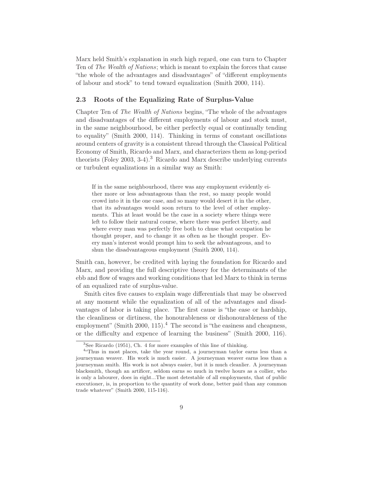Marx held Smith's explanation in such high regard, one can turn to Chapter Ten of The Wealth of Nations; which is meant to explain the forces that cause "the whole of the advantages and disadvantages" of "different employments of labour and stock" to tend toward equalization (Smith 2000, 114).

#### 2.3 Roots of the Equalizing Rate of Surplus-Value

Chapter Ten of The Wealth of Nations begins, "The whole of the advantages and disadvantages of the different employments of labour and stock must, in the same neighbourhood, be either perfectly equal or continually tending to equality" (Smith 2000, 114). Thinking in terms of constant oscillations around centers of gravity is a consistent thread through the Classical Political Economy of Smith, Ricardo and Marx, and characterizes them as long-period theorists (Foley 2003, 3-4).<sup>3</sup> Ricardo and Marx describe underlying currents or turbulent equalizations in a similar way as Smith:

If in the same neighbourhood, there was any employment evidently either more or less advantageous than the rest, so many people would crowd into it in the one case, and so many would desert it in the other, that its advantages would soon return to the level of other employments. This at least would be the case in a society where things were left to follow their natural course, where there was perfect liberty, and where every man was perfectly free both to chuse what occupation he thought proper, and to change it as often as he thought proper. Every man's interest would prompt him to seek the advantageous, and to shun the disadvantageous employment (Smith 2000, 114).

Smith can, however, be credited with laying the foundation for Ricardo and Marx, and providing the full descriptive theory for the determinants of the ebb and flow of wages and working conditions that led Marx to think in terms of an equalized rate of surplus-value.

Smith cites five causes to explain wage differentials that may be observed at any moment while the equalization of all of the advantages and disadvantages of labor is taking place. The first cause is "the ease or hardship, the cleanliness or dirtiness, the honourableness or dishonourableness of the employment" (Smith 2000, 115).<sup>4</sup> The second is "the easiness and cheapness, or the difficulty and expence of learning the business" (Smith 2000, 116).

 ${}^{3}$ See Ricardo (1951), Ch. 4 for more examples of this line of thinking.

<sup>4</sup> "Thus in most places, take the year round, a journeyman taylor earns less than a journeyman weaver. His work is much easier. A journeyman weaver earns less than a journeyman smith. His work is not always easier, but it is much cleanlier. A journeyman blacksmith, though an artificer, seldom earns so much in twelve hours as a collier, who is only a labourer, does in eight...The most detestable of all employments, that of public executioner, is, in proportion to the quantity of work done, better paid than any common trade whatever" (Smith 2000, 115-116).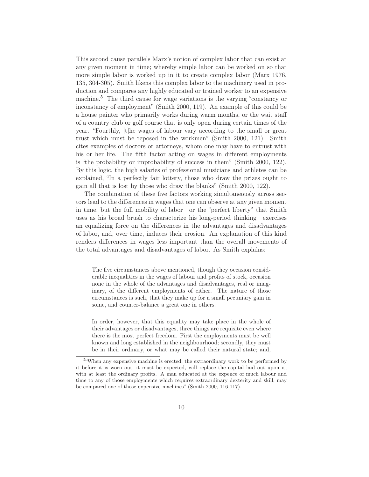This second cause parallels Marx's notion of complex labor that can exist at any given moment in time; whereby simple labor can be worked on so that more simple labor is worked up in it to create complex labor (Marx 1976, 135, 304-305). Smith likens this complex labor to the machinery used in production and compares any highly educated or trained worker to an expensive machine. $5$  The third cause for wage variations is the varying "constancy or inconstancy of employment" (Smith 2000, 119). An example of this could be a house painter who primarily works during warm months, or the wait staff of a country club or golf course that is only open during certain times of the year. "Fourthly, [t]he wages of labour vary according to the small or great trust which must be reposed in the workmen" (Smith 2000, 121). Smith cites examples of doctors or attorneys, whom one may have to entrust with his or her life. The fifth factor acting on wages in different employments is "the probability or improbability of success in them" (Smith 2000, 122). By this logic, the high salaries of professional musicians and athletes can be explained, "In a perfectly fair lottery, those who draw the prizes ought to gain all that is lost by those who draw the blanks" (Smith 2000, 122).

The combination of these five factors working simultaneously across sectors lead to the differences in wages that one can observe at any given moment in time, but the full mobility of labor—or the "perfect liberty" that Smith uses as his broad brush to characterize his long-period thinking—exercises an equalizing force on the differences in the advantages and disadvantages of labor, and, over time, induces their erosion. An explanation of this kind renders differences in wages less important than the overall movements of the total advantages and disadvantages of labor. As Smith explains:

The five circumstances above mentioned, though they occasion considerable inequalities in the wages of labour and profits of stock, occasion none in the whole of the advantages and disadvantages, real or imaginary, of the different employments of either. The nature of those circumstances is such, that they make up for a small pecuniary gain in some, and counter-balance a great one in others.

In order, however, that this equality may take place in the whole of their advantages or disadvantages, three things are requisite even where there is the most perfect freedom. First the employments must be well known and long established in the neighbourhood; secondly, they must be in their ordinary, or what may be called their natural state; and,

<sup>&</sup>lt;sup>54</sup>When any expensive machine is erected, the extraordinary work to be performed by it before it is worn out, it must be expected, will replace the capital laid out upon it, with at least the ordinary profits. A man educated at the expence of much labour and time to any of those employments which requires extraordinary dexterity and skill, may be compared one of those expensive machines" (Smith 2000, 116-117).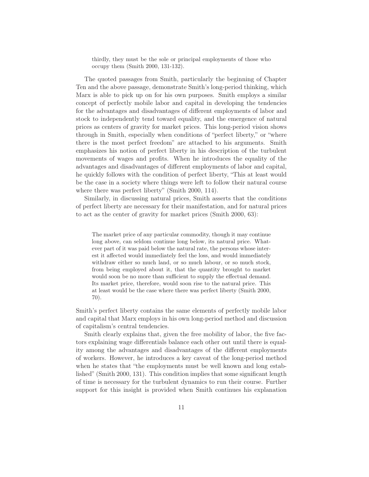thirdly, they must be the sole or principal employments of those who occupy them (Smith 2000, 131-132).

The quoted passages from Smith, particularly the beginning of Chapter Ten and the above passage, demonstrate Smith's long-period thinking, which Marx is able to pick up on for his own purposes. Smith employs a similar concept of perfectly mobile labor and capital in developing the tendencies for the advantages and disadvantages of different employments of labor and stock to independently tend toward equality, and the emergence of natural prices as centers of gravity for market prices. This long-period vision shows through in Smith, especially when conditions of "perfect liberty," or "where there is the most perfect freedom" are attached to his arguments. Smith emphasizes his notion of perfect liberty in his description of the turbulent movements of wages and profits. When he introduces the equality of the advantages and disadvantages of different employments of labor and capital, he quickly follows with the condition of perfect liberty, "This at least would be the case in a society where things were left to follow their natural course where there was perfect liberty" (Smith 2000, 114).

Similarly, in discussing natural prices, Smith asserts that the conditions of perfect liberty are necessary for their manifestation, and for natural prices to act as the center of gravity for market prices (Smith 2000, 63):

The market price of any particular commodity, though it may continue long above, can seldom continue long below, its natural price. Whatever part of it was paid below the natural rate, the persons whose interest it affected would immediately feel the loss, and would immediately withdraw either so much land, or so much labour, or so much stock, from being employed about it, that the quantity brought to market would soon be no more than sufficient to supply the effectual demand. Its market price, therefore, would soon rise to the natural price. This at least would be the case where there was perfect liberty (Smith 2000, 70).

Smith's perfect liberty contains the same elements of perfectly mobile labor and capital that Marx employs in his own long-period method and discussion of capitalism's central tendencies.

Smith clearly explains that, given the free mobility of labor, the five factors explaining wage differentials balance each other out until there is equality among the advantages and disadvantages of the different employments of workers. However, he introduces a key caveat of the long-period method when he states that "the employments must be well known and long established" (Smith 2000, 131). This condition implies that some significant length of time is necessary for the turbulent dynamics to run their course. Further support for this insight is provided when Smith continues his explanation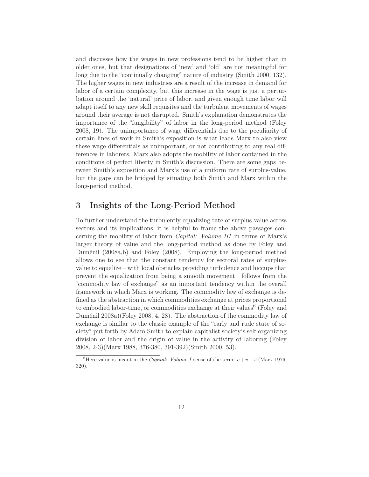and discusses how the wages in new professions tend to be higher than in older ones, but that designations of 'new' and 'old' are not meaningful for long due to the "continually changing" nature of industry (Smith 2000, 132). The higher wages in new industries are a result of the increase in demand for labor of a certain complexity, but this increase in the wage is just a perturbation around the 'natural' price of labor, and given enough time labor will adapt itself to any new skill requisites and the turbulent movements of wages around their average is not disrupted. Smith's explanation demonstrates the importance of the "fungibility" of labor in the long-period method (Foley 2008, 19). The unimportance of wage differentials due to the peculiarity of certain lines of work in Smith's exposition is what leads Marx to also view these wage differentials as unimportant, or not contributing to any real differences in laborers. Marx also adopts the mobility of labor contained in the conditions of perfect liberty in Smith's discussion. There are some gaps between Smith's exposition and Marx's use of a uniform rate of surplus-value, but the gaps can be bridged by situating both Smith and Marx within the long-period method.

## 3 Insights of the Long-Period Method

To further understand the turbulently equalizing rate of surplus-value across sectors and its implications, it is helpful to frame the above passages concerning the mobility of labor from Capital: Volume III in terms of Marx's larger theory of value and the long-period method as done by Foley and Duménil (2008a,b) and Foley (2008). Employing the long-period method allows one to see that the constant tendency for sectoral rates of surplusvalue to equalize—with local obstacles providing turbulence and hiccups that prevent the equalization from being a smooth movement—follows from the "commodity law of exchange" as an important tendency within the overall framework in which Marx is working. The commodity law of exchange is defined as the abstraction in which commodities exchange at prices proportional to embodied labor-time, or commodities exchange at their values  $6 \text{ (Foley and)}$ Duménil 2008a)(Foley 2008, 4, 28). The abstraction of the commodity law of exchange is similar to the classic example of the "early and rude state of society" put forth by Adam Smith to explain capitalist society's self-organizing division of labor and the origin of value in the activity of laboring (Foley 2008, 2-3)(Marx 1988, 376-380, 391-392)(Smith 2000, 53).

<sup>&</sup>lt;sup>6</sup>Here value is meant in the *Capital: Volume I* sense of the term:  $c + v + s$  (Marx 1976, 320).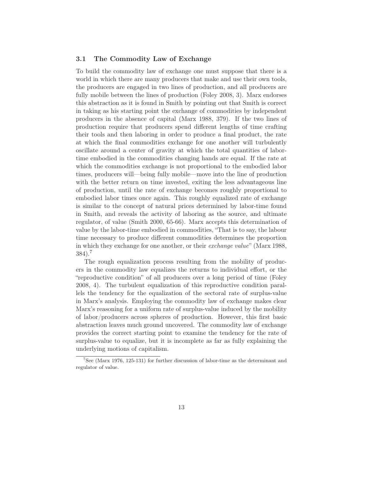#### 3.1 The Commodity Law of Exchange

To build the commodity law of exchange one must suppose that there is a world in which there are many producers that make and use their own tools, the producers are engaged in two lines of production, and all producers are fully mobile between the lines of production (Foley 2008, 3). Marx endorses this abstraction as it is found in Smith by pointing out that Smith is correct in taking as his starting point the exchange of commodities by independent producers in the absence of capital (Marx 1988, 379). If the two lines of production require that producers spend different lengths of time crafting their tools and then laboring in order to produce a final product, the rate at which the final commodities exchange for one another will turbulently oscillate around a center of gravity at which the total quantities of labortime embodied in the commodities changing hands are equal. If the rate at which the commodities exchange is not proportional to the embodied labor times, producers will—being fully mobile—move into the line of production with the better return on time invested, exiting the less advantageous line of production, until the rate of exchange becomes roughly proportional to embodied labor times once again. This roughly equalized rate of exchange is similar to the concept of natural prices determined by labor-time found in Smith, and reveals the activity of laboring as the source, and ultimate regulator, of value (Smith 2000, 65-66). Marx accepts this determination of value by the labor-time embodied in commodities, "That is to say, the labour time necessary to produce different commodities determines the proportion in which they exchange for one another, or their exchange value" (Marx 1988, 384).<sup>7</sup>

The rough equalization process resulting from the mobility of producers in the commodity law equalizes the returns to individual effort, or the "reproductive condition" of all producers over a long period of time (Foley 2008, 4). The turbulent equalization of this reproductive condition parallels the tendency for the equalization of the sectoral rate of surplus-value in Marx's analysis. Employing the commodity law of exchange makes clear Marx's reasoning for a uniform rate of surplus-value induced by the mobility of labor/producers across spheres of production. However, this first basic abstraction leaves much ground uncovered. The commodity law of exchange provides the correct starting point to examine the tendency for the rate of surplus-value to equalize, but it is incomplete as far as fully explaining the underlying motions of capitalism.

<sup>7</sup>See (Marx 1976, 125-131) for further discussion of labor-time as the determinant and regulator of value.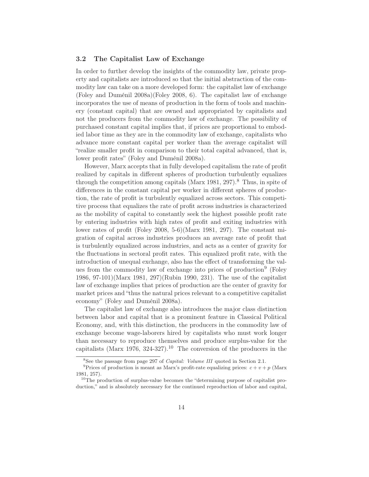#### 3.2 The Capitalist Law of Exchange

In order to further develop the insights of the commodity law, private property and capitalists are introduced so that the initial abstraction of the commodity law can take on a more developed form: the capitalist law of exchange (Foley and Duménil 2008a)(Foley 2008, 6). The capitalist law of exchange incorporates the use of means of production in the form of tools and machinery (constant capital) that are owned and appropriated by capitalists and not the producers from the commodity law of exchange. The possibility of purchased constant capital implies that, if prices are proportional to embodied labor time as they are in the commodity law of exchange, capitalists who advance more constant capital per worker than the average capitalist will "realize smaller profit in comparison to their total capital advanced, that is, lower profit rates" (Foley and Duménil 2008a).

However, Marx accepts that in fully developed capitalism the rate of profit realized by capitals in different spheres of production turbulently equalizes through the competition among capitals (Marx 1981, 297).<sup>8</sup> Thus, in spite of differences in the constant capital per worker in different spheres of production, the rate of profit is turbulently equalized across sectors. This competitive process that equalizes the rate of profit across industries is characterized as the mobility of capital to constantly seek the highest possible profit rate by entering industries with high rates of profit and exiting industries with lower rates of profit (Foley 2008, 5-6)(Marx 1981, 297). The constant migration of capital across industries produces an average rate of profit that is turbulently equalized across industries, and acts as a center of gravity for the fluctuations in sectoral profit rates. This equalized profit rate, with the introduction of unequal exchange, also has the effect of transforming the values from the commodity law of exchange into prices of production<sup>9</sup> (Foley 1986, 97-101)(Marx 1981, 297)(Rubin 1990, 231). The use of the capitalist law of exchange implies that prices of production are the center of gravity for market prices and "thus the natural prices relevant to a competitive capitalist economy" (Foley and Duménil 2008a).

The capitalist law of exchange also introduces the major class distinction between labor and capital that is a prominent feature in Classical Political Economy, and, with this distinction, the producers in the commodity law of exchange become wage-laborers hired by capitalists who must work longer than necessary to reproduce themselves and produce surplus-value for the capitalists (Marx 1976, 324-327).<sup>10</sup> The conversion of the producers in the

<sup>&</sup>lt;sup>8</sup>See the passage from page 297 of *Capital: Volume III* quoted in Section 2.1.

<sup>&</sup>lt;sup>9</sup>Prices of production is meant as Marx's profit-rate equalizing prices:  $c + v + p$  (Marx) 1981, 257).

 $10$ The production of surplus-value becomes the "determining purpose of capitalist production," and is absolutely necessary for the continued reproduction of labor and capital,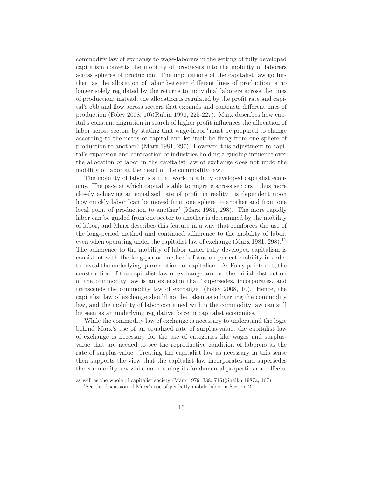commodity law of exchange to wage-laborers in the setting of fully developed capitalism converts the mobility of producers into the mobility of laborers across spheres of production. The implications of the capitalist law go further, as the allocation of labor between different lines of production is no longer solely regulated by the returns to individual laborers across the lines of production; instead, the allocation is regulated by the profit rate and capital's ebb and flow across sectors that expands and contracts different lines of production (Foley 2008, 10)(Rubin 1990, 225-227). Marx describes how capital's constant migration in search of higher profit influences the allocation of labor across sectors by stating that wage-labor "must be prepared to change according to the needs of capital and let itself be flung from one sphere of production to another" (Marx 1981, 297). However, this adjustment to capital's expansion and contraction of industries holding a guiding influence over the allocation of labor in the capitalist law of exchange does not undo the mobility of labor at the heart of the commodity law.

The mobility of labor is still at work in a fully developed capitalist economy. The pace at which capital is able to migrate across sectors—thus more closely achieving an equalized rate of profit in reality—is dependent upon how quickly labor "can be moved from one sphere to another and from one local point of production to another" (Marx 1981, 298). The more rapidly labor can be guided from one sector to another is determined by the mobility of labor, and Marx describes this feature in a way that reinforces the use of the long-period method and continued adherence to the mobility of labor, even when operating under the capitalist law of exchange (Marx 1981, 298).<sup>11</sup> The adherence to the mobility of labor under fully developed capitalism is consistent with the long-period method's focus on perfect mobility in order to reveal the underlying, pure motions of capitalism. As Foley points out, the construction of the capitalist law of exchange around the initial abstraction of the commodity law is an extension that "supersedes, incorporates, and transcends the commodity law of exchange" (Foley 2008, 10). Hence, the capitalist law of exchange should not be taken as subverting the commodity law, and the mobility of labor contained within the commodity law can still be seen as an underlying regulative force in capitalist economies.

While the commodity law of exchange is necessary to understand the logic behind Marx's use of an equalized rate of surplus-value, the capitalist law of exchange is necessary for the use of categories like wages and surplusvalue that are needed to see the reproductive condition of laborers as the rate of surplus-value. Treating the capitalist law as necessary in this sense then supports the view that the capitalist law incorporates and supersedes the commodity law while not undoing its fundamental properties and effects.

as well as the whole of capitalist society (Marx 1976, 338, 716)(Shaikh 1987a, 167).

<sup>&</sup>lt;sup>11</sup>See the discussion of Marx's use of perfectly mobile labor in Section 2.1.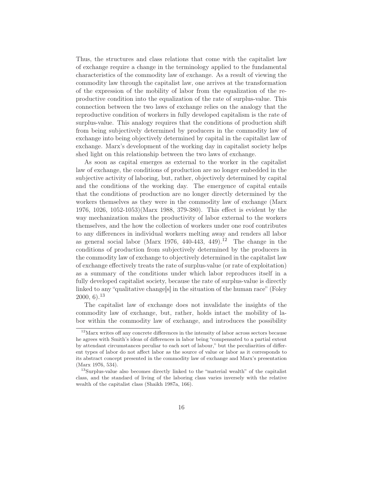Thus, the structures and class relations that come with the capitalist law of exchange require a change in the terminology applied to the fundamental characteristics of the commodity law of exchange. As a result of viewing the commodity law through the capitalist law, one arrives at the transformation of the expression of the mobility of labor from the equalization of the reproductive condition into the equalization of the rate of surplus-value. This connection between the two laws of exchange relies on the analogy that the reproductive condition of workers in fully developed capitalism is the rate of surplus-value. This analogy requires that the conditions of production shift from being subjectively determined by producers in the commodity law of exchange into being objectively determined by capital in the capitalist law of exchange. Marx's development of the working day in capitalist society helps shed light on this relationship between the two laws of exchange.

As soon as capital emerges as external to the worker in the capitalist law of exchange, the conditions of production are no longer embedded in the subjective activity of laboring, but, rather, objectively determined by capital and the conditions of the working day. The emergence of capital entails that the conditions of production are no longer directly determined by the workers themselves as they were in the commodity law of exchange (Marx 1976, 1026, 1052-1053)(Marx 1988, 379-380). This effect is evident by the way mechanization makes the productivity of labor external to the workers themselves, and the how the collection of workers under one roof contributes to any differences in individual workers melting away and renders all labor as general social labor (Marx 1976, 440-443, 449).<sup>12</sup> The change in the conditions of production from subjectively determined by the producers in the commodity law of exchange to objectively determined in the capitalist law of exchange effectively treats the rate of surplus-value (or rate of exploitation) as a summary of the conditions under which labor reproduces itself in a fully developed capitalist society, because the rate of surplus-value is directly linked to any "qualitative change[s] in the situation of the human race" (Foley  $2000, 6$ ).<sup>13</sup>

The capitalist law of exchange does not invalidate the insights of the commodity law of exchange, but, rather, holds intact the mobility of labor within the commodity law of exchange, and introduces the possibility

<sup>12</sup>Marx writes off any concrete differences in the intensity of labor across sectors because he agrees with Smith's ideas of differences in labor being "compensated to a partial extent by attendant circumstances peculiar to each sort of labour," but the peculiarities of different types of labor do not affect labor as the source of value or labor as it corresponds to its abstract concept presented in the commodity law of exchange and Marx's presentation (Marx 1976, 534).

<sup>&</sup>lt;sup>13</sup>Surplus-value also becomes directly linked to the "material wealth" of the capitalist class, and the standard of living of the laboring class varies inversely with the relative wealth of the capitalist class (Shaikh 1987a, 166).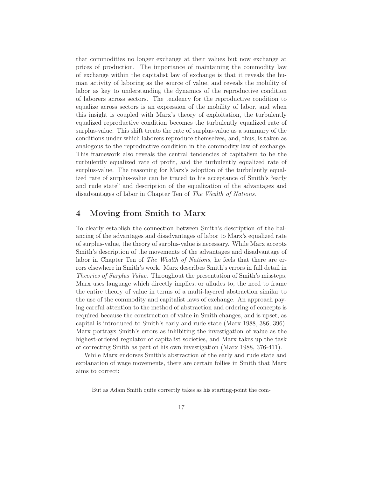that commodities no longer exchange at their values but now exchange at prices of production. The importance of maintaining the commodity law of exchange within the capitalist law of exchange is that it reveals the human activity of laboring as the source of value, and reveals the mobility of labor as key to understanding the dynamics of the reproductive condition of laborers across sectors. The tendency for the reproductive condition to equalize across sectors is an expression of the mobility of labor, and when this insight is coupled with Marx's theory of exploitation, the turbulently equalized reproductive condition becomes the turbulently equalized rate of surplus-value. This shift treats the rate of surplus-value as a summary of the conditions under which laborers reproduce themselves, and, thus, is taken as analogous to the reproductive condition in the commodity law of exchange. This framework also reveals the central tendencies of capitalism to be the turbulently equalized rate of profit, and the turbulently equalized rate of surplus-value. The reasoning for Marx's adoption of the turbulently equalized rate of surplus-value can be traced to his acceptance of Smith's "early and rude state" and description of the equalization of the advantages and disadvantages of labor in Chapter Ten of The Wealth of Nations.

## 4 Moving from Smith to Marx

To clearly establish the connection between Smith's description of the balancing of the advantages and disadvantages of labor to Marx's equalized rate of surplus-value, the theory of surplus-value is necessary. While Marx accepts Smith's description of the movements of the advantages and disadvantage of labor in Chapter Ten of The Wealth of Nations, he feels that there are errors elsewhere in Smith's work. Marx describes Smith's errors in full detail in Theories of Surplus Value. Throughout the presentation of Smith's missteps, Marx uses language which directly implies, or alludes to, the need to frame the entire theory of value in terms of a multi-layered abstraction similar to the use of the commodity and capitalist laws of exchange. An approach paying careful attention to the method of abstraction and ordering of concepts is required because the construction of value in Smith changes, and is upset, as capital is introduced to Smith's early and rude state (Marx 1988, 386, 396). Marx portrays Smith's errors as inhibiting the investigation of value as the highest-ordered regulator of capitalist societies, and Marx takes up the task of correcting Smith as part of his own investigation (Marx 1988, 376-411).

While Marx endorses Smith's abstraction of the early and rude state and explanation of wage movements, there are certain follies in Smith that Marx aims to correct:

But as Adam Smith quite correctly takes as his starting-point the com-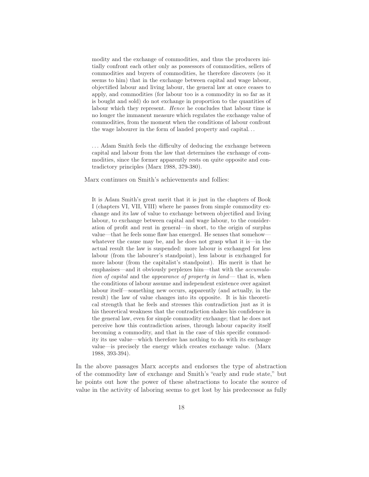modity and the exchange of commodities, and thus the producers initially confront each other only as possessors of commodities, sellers of commodities and buyers of commodities, he therefore discovers (so it seems to him) that in the exchange between capital and wage labour, objectified labour and living labour, the general law at once ceases to apply, and commodities (for labour too is a commodity in so far as it is bought and sold) do not exchange in proportion to the quantities of labour which they represent. Hence he concludes that labour time is no longer the immanent measure which regulates the exchange value of commodities, from the moment when the conditions of labour confront the wage labourer in the form of landed property and capital. ..

. .. Adam Smith feels the difficulty of deducing the exchange between capital and labour from the law that determines the exchange of commodities, since the former apparently rests on quite opposite and contradictory principles (Marx 1988, 379-380).

Marx continues on Smith's achievements and follies:

It is Adam Smith's great merit that it is just in the chapters of Book I (chapters VI, VII, VIII) where he passes from simple commodity exchange and its law of value to exchange between objectified and living labour, to exchange between capital and wage labour, to the consideration of profit and rent in general—in short, to the origin of surplus value—that he feels some flaw has emerged. He senses that somehow whatever the cause may be, and he does not grasp what it is—in the actual result the law is suspended: more labour is exchanged for less labour (from the labourer's standpoint), less labour is exchanged for more labour (from the capitalist's standpoint). His merit is that he emphasises—and it obviously perplexes him—that with the *accumula*tion of capital and the appearance of property in land— that is, when the conditions of labour assume and independent existence over against labour itself—something new occurs, apparently (and actually, in the result) the law of value changes into its opposite. It is his theoretical strength that he feels and stresses this contradiction just as it is his theoretical weakness that the contradiction shakes his confidence in the general law, even for simple commodity exchange; that he does not perceive how this contradiction arises, through labour capacity itself becoming a commodity, and that in the case of this specific commodity its use value—which therefore has nothing to do with its exchange value—is precisely the energy which creates exchange value. (Marx 1988, 393-394).

In the above passages Marx accepts and endorses the type of abstraction of the commodity law of exchange and Smith's "early and rude state," but he points out how the power of these abstractions to locate the source of value in the activity of laboring seems to get lost by his predecessor as fully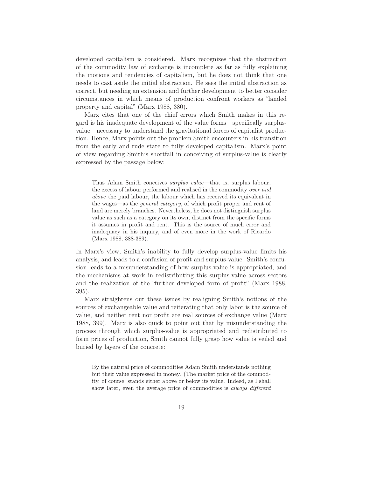developed capitalism is considered. Marx recognizes that the abstraction of the commodity law of exchange is incomplete as far as fully explaining the motions and tendencies of capitalism, but he does not think that one needs to cast aside the initial abstraction. He sees the initial abstraction as correct, but needing an extension and further development to better consider circumstances in which means of production confront workers as "landed property and capital" (Marx 1988, 380).

Marx cites that one of the chief errors which Smith makes in this regard is his inadequate development of the value forms—specifically surplusvalue—necessary to understand the gravitational forces of capitalist production. Hence, Marx points out the problem Smith encounters in his transition from the early and rude state to fully developed capitalism. Marx's point of view regarding Smith's shortfall in conceiving of surplus-value is clearly expressed by the passage below:

Thus Adam Smith conceives surplus value—that is, surplus labour, the excess of labour performed and realised in the commodity over and above the paid labour, the labour which has received its equivalent in the wages—as the *general category*, of which profit proper and rent of land are merely branches. Nevertheless, he does not distinguish surplus value as such as a category on its own, distinct from the specific forms it assumes in profit and rent. This is the source of much error and inadequacy in his inquiry, and of even more in the work of Ricardo (Marx 1988, 388-389).

In Marx's view, Smith's inability to fully develop surplus-value limits his analysis, and leads to a confusion of profit and surplus-value. Smith's confusion leads to a misunderstanding of how surplus-value is appropriated, and the mechanisms at work in redistributing this surplus-value across sectors and the realization of the "further developed form of profit" (Marx 1988, 395).

Marx straightens out these issues by realigning Smith's notions of the sources of exchangeable value and reiterating that only labor is the source of value, and neither rent nor profit are real sources of exchange value (Marx 1988, 399). Marx is also quick to point out that by misunderstanding the process through which surplus-value is appropriated and redistributed to form prices of production, Smith cannot fully grasp how value is veiled and buried by layers of the concrete:

By the natural price of commodities Adam Smith understands nothing but their value expressed in money. (The market price of the commodity, of course, stands either above or below its value. Indeed, as I shall show later, even the average price of commodities is always different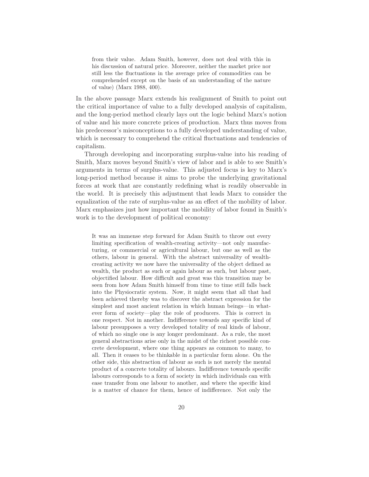from their value. Adam Smith, however, does not deal with this in his discussion of natural price. Moreover, neither the market price nor still less the fluctuations in the average price of commodities can be comprehended except on the basis of an understanding of the nature of value) (Marx 1988, 400).

In the above passage Marx extends his realignment of Smith to point out the critical importance of value to a fully developed analysis of capitalism, and the long-period method clearly lays out the logic behind Marx's notion of value and his more concrete prices of production. Marx thus moves from his predecessor's misconceptions to a fully developed understanding of value, which is necessary to comprehend the critical fluctuations and tendencies of capitalism.

Through developing and incorporating surplus-value into his reading of Smith, Marx moves beyond Smith's view of labor and is able to see Smith's arguments in terms of surplus-value. This adjusted focus is key to Marx's long-period method because it aims to probe the underlying gravitational forces at work that are constantly redefining what is readily observable in the world. It is precisely this adjustment that leads Marx to consider the equalization of the rate of surplus-value as an effect of the mobility of labor. Marx emphasizes just how important the mobility of labor found in Smith's work is to the development of political economy:

It was an immense step forward for Adam Smith to throw out every limiting specification of wealth-creating activity—not only manufacturing, or commercial or agricultural labour, but one as well as the others, labour in general. With the abstract universality of wealthcreating activity we now have the universality of the object defined as wealth, the product as such or again labour as such, but labour past, objectified labour. How difficult and great was this transition may be seen from how Adam Smith himself from time to time still falls back into the Physiocratic system. Now, it might seem that all that had been achieved thereby was to discover the abstract expression for the simplest and most ancient relation in which human beings—in whatever form of society—play the role of producers. This is correct in one respect. Not in another. Indifference towards any specific kind of labour presupposes a very developed totality of real kinds of labour, of which no single one is any longer predominant. As a rule, the most general abstractions arise only in the midst of the richest possible concrete development, where one thing appears as common to many, to all. Then it ceases to be thinkable in a particular form alone. On the other side, this abstraction of labour as such is not merely the mental product of a concrete totality of labours. Indifference towards specific labours corresponds to a form of society in which individuals can with ease transfer from one labour to another, and where the specific kind is a matter of chance for them, hence of indifference. Not only the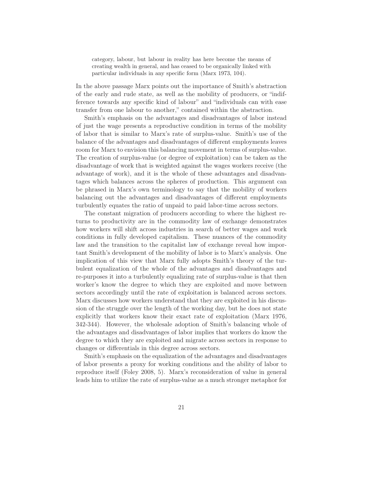category, labour, but labour in reality has here become the means of creating wealth in general, and has ceased to be organically linked with particular individuals in any specific form (Marx 1973, 104).

In the above passage Marx points out the importance of Smith's abstraction of the early and rude state, as well as the mobility of producers, or "indifference towards any specific kind of labour" and "individuals can with ease transfer from one labour to another," contained within the abstraction.

Smith's emphasis on the advantages and disadvantages of labor instead of just the wage presents a reproductive condition in terms of the mobility of labor that is similar to Marx's rate of surplus-value. Smith's use of the balance of the advantages and disadvantages of different employments leaves room for Marx to envision this balancing movement in terms of surplus-value. The creation of surplus-value (or degree of exploitation) can be taken as the disadvantage of work that is weighted against the wages workers receive (the advantage of work), and it is the whole of these advantages and disadvantages which balances across the spheres of production. This argument can be phrased in Marx's own terminology to say that the mobility of workers balancing out the advantages and disadvantages of different employments turbulently equates the ratio of unpaid to paid labor-time across sectors.

The constant migration of producers according to where the highest returns to productivity are in the commodity law of exchange demonstrates how workers will shift across industries in search of better wages and work conditions in fully developed capitalism. These nuances of the commodity law and the transition to the capitalist law of exchange reveal how important Smith's development of the mobility of labor is to Marx's analysis. One implication of this view that Marx fully adopts Smith's theory of the turbulent equalization of the whole of the advantages and disadvantages and re-purposes it into a turbulently equalizing rate of surplus-value is that then worker's know the degree to which they are exploited and move between sectors accordingly until the rate of exploitation is balanced across sectors. Marx discusses how workers understand that they are exploited in his discussion of the struggle over the length of the working day, but he does not state explicitly that workers know their exact rate of exploitation (Marx 1976, 342-344). However, the wholesale adoption of Smith's balancing whole of the advantages and disadvantages of labor implies that workers do know the degree to which they are exploited and migrate across sectors in response to changes or differentials in this degree across sectors.

Smith's emphasis on the equalization of the advantages and disadvantages of labor presents a proxy for working conditions and the ability of labor to reproduce itself (Foley 2008, 5). Marx's reconsideration of value in general leads him to utilize the rate of surplus-value as a much stronger metaphor for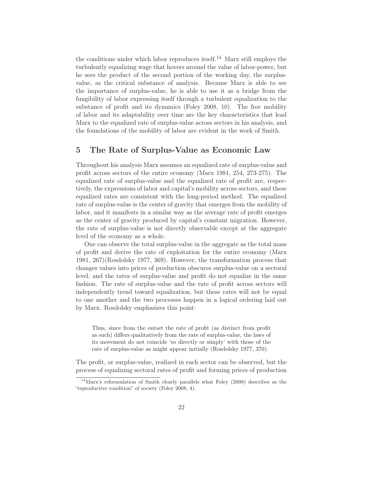the conditions under which labor reproduces itself.<sup>14</sup> Marx still employs the turbulently equalizing wage that hovers around the value of labor-power, but he sees the product of the second portion of the working day, the surplusvalue, as the critical substance of analysis. Because Marx is able to see the importance of surplus-value, he is able to use it as a bridge from the fungibility of labor expressing itself through a turbulent equalization to the substance of profit and its dynamics (Foley 2008, 10). The free mobility of labor and its adaptability over time are the key characteristics that lead Marx to the equalized rate of surplus-value across sectors in his analysis, and the foundations of the mobility of labor are evident in the work of Smith.

## 5 The Rate of Surplus-Value as Economic Law

Throughout his analysis Marx assumes an equalized rate of surplus-value and profit across sectors of the entire economy (Marx 1981, 254, 273-275). The equalized rate of surplus-value and the equalized rate of profit are, respectively, the expressions of labor and capital's mobility across sectors, and these equalized rates are consistent with the long-period method. The equalized rate of surplus-value is the center of gravity that emerges from the mobility of labor, and it manifests in a similar way as the average rate of profit emerges as the center of gravity produced by capital's constant migration. However, the rate of surplus-value is not directly observable except at the aggregate level of the economy as a whole.

One can observe the total surplus-value in the aggregate as the total mass of profit and derive the rate of exploitation for the entire economy (Marx 1981, 267)(Rosdolsky 1977, 369). However, the transformation process that changes values into prices of production obscures surplus-value on a sectoral level, and the rates of surplus-value and profit do not equalize in the same fashion. The rate of surplus-value and the rate of profit across sectors will independently trend toward equalization, but these rates will not be equal to one another and the two processes happen in a logical ordering laid out by Marx. Rosdolsky emphasizes this point:

Thus, since from the outset the rate of profit (as distinct from profit as such) differs qualitatively from the rate of surplus-value, the laws of its movement do not coincide 'so directly or simply' with those of the rate of surplus-value as might appear initially (Rosdolsky 1977, 370).

The profit, or surplus-value, realized in each sector can be observed, but the process of equalizing sectoral rates of profit and forming prices of production

<sup>14</sup>Marx's reformulation of Smith clearly parallels what Foley (2008) describes as the "reproductive condition" of society (Foley 2008, 4).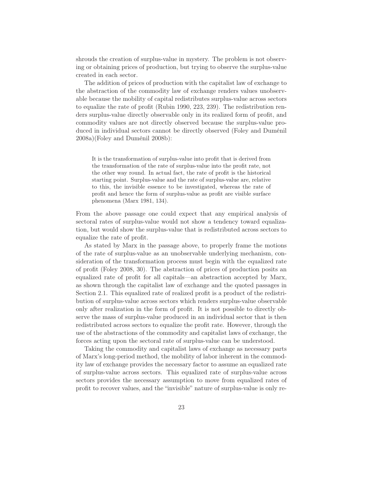shrouds the creation of surplus-value in mystery. The problem is not observing or obtaining prices of production, but trying to observe the surplus-value created in each sector.

The addition of prices of production with the capitalist law of exchange to the abstraction of the commodity law of exchange renders values unobservable because the mobility of capital redistributes surplus-value across sectors to equalize the rate of profit (Rubin 1990, 223, 239). The redistribution renders surplus-value directly observable only in its realized form of profit, and commodity values are not directly observed because the surplus-value produced in individual sectors cannot be directly observed (Foley and Duménil 2008a)(Foley and Duménil 2008b):

It is the transformation of surplus-value into profit that is derived from the transformation of the rate of surplus-value into the profit rate, not the other way round. In actual fact, the rate of profit is the historical starting point. Surplus-value and the rate of surplus-value are, relative to this, the invisible essence to be investigated, whereas the rate of profit and hence the form of surplus-value as profit are visible surface phenomena (Marx 1981, 134).

From the above passage one could expect that any empirical analysis of sectoral rates of surplus-value would not show a tendency toward equalization, but would show the surplus-value that is redistributed across sectors to equalize the rate of profit.

As stated by Marx in the passage above, to properly frame the motions of the rate of surplus-value as an unobservable underlying mechanism, consideration of the transformation process must begin with the equalized rate of profit (Foley 2008, 30). The abstraction of prices of production posits an equalized rate of profit for all capitals—an abstraction accepted by Marx, as shown through the capitalist law of exchange and the quoted passages in Section 2.1. This equalized rate of realized profit is a product of the redistribution of surplus-value across sectors which renders surplus-value observable only after realization in the form of profit. It is not possible to directly observe the mass of surplus-value produced in an individual sector that is then redistributed across sectors to equalize the profit rate. However, through the use of the abstractions of the commodity and capitalist laws of exchange, the forces acting upon the sectoral rate of surplus-value can be understood.

Taking the commodity and capitalist laws of exchange as necessary parts of Marx's long-period method, the mobility of labor inherent in the commodity law of exchange provides the necessary factor to assume an equalized rate of surplus-value across sectors. This equalized rate of surplus-value across sectors provides the necessary assumption to move from equalized rates of profit to recover values, and the "invisible" nature of surplus-value is only re-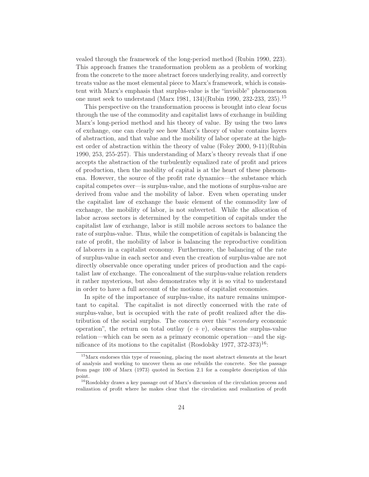vealed through the framework of the long-period method (Rubin 1990, 223). This approach frames the transformation problem as a problem of working from the concrete to the more abstract forces underlying reality, and correctly treats value as the most elemental piece to Marx's framework, which is consistent with Marx's emphasis that surplus-value is the "invisible" phenomenon one must seek to understand (Marx 1981, 134)(Rubin 1990, 232-233, 235).<sup>15</sup>

This perspective on the transformation process is brought into clear focus through the use of the commodity and capitalist laws of exchange in building Marx's long-period method and his theory of value. By using the two laws of exchange, one can clearly see how Marx's theory of value contains layers of abstraction, and that value and the mobility of labor operate at the highest order of abstraction within the theory of value (Foley 2000, 9-11)(Rubin 1990, 253, 255-257). This understanding of Marx's theory reveals that if one accepts the abstraction of the turbulently equalized rate of profit and prices of production, then the mobility of capital is at the heart of these phenomena. However, the source of the profit rate dynamics—the substance which capital competes over—is surplus-value, and the motions of surplus-value are derived from value and the mobility of labor. Even when operating under the capitalist law of exchange the basic element of the commodity law of exchange, the mobility of labor, is not subverted. While the allocation of labor across sectors is determined by the competition of capitals under the capitalist law of exchange, labor is still mobile across sectors to balance the rate of surplus-value. Thus, while the competition of capitals is balancing the rate of profit, the mobility of labor is balancing the reproductive condition of laborers in a capitalist economy. Furthermore, the balancing of the rate of surplus-value in each sector and even the creation of surplus-value are not directly observable once operating under prices of production and the capitalist law of exchange. The concealment of the surplus-value relation renders it rather mysterious, but also demonstrates why it is so vital to understand in order to have a full account of the motions of capitalist economies.

In spite of the importance of surplus-value, its nature remains unimportant to capital. The capitalist is not directly concerned with the rate of surplus-value, but is occupied with the rate of profit realized after the distribution of the social surplus. The concern over this "secondary economic operation", the return on total outlay  $(c + v)$ , obscures the surplus-value relation—which can be seen as a primary economic operation—and the significance of its motions to the capitalist (Rosdolsky 1977, 372-373)<sup>16</sup>:

 $15$ Marx endorses this type of reasoning, placing the most abstract elements at the heart of analysis and working to uncover them as one rebuilds the concrete. See the passage from page 100 of Marx (1973) quoted in Section 2.1 for a complete description of this point.

<sup>&</sup>lt;sup>16</sup>Rosdolsky draws a key passage out of Marx's discussion of the circulation process and realization of profit where he makes clear that the circulation and realization of profit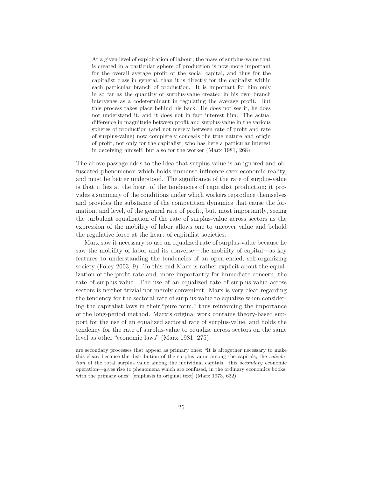At a given level of exploitation of labour, the mass of surplus-value that is created in a particular sphere of production is now more important for the overall average profit of the social capital, and thus for the capitalist class in general, than it is directly for the capitalist within each particular branch of production. It is important for him only in so far as the quantity of surplus-value created in his own branch intervenes as a codeterminant in regulating the average profit. But this process takes place behind his back. He does not see it, he does not understand it, and it does not in fact interest him. The actual difference in magnitude between profit and surplus-value in the various spheres of production (and not merely between rate of profit and rate of surplus-value) now completely conceals the true nature and origin of profit, not only for the capitalist, who has here a particular interest in deceiving himself, but also for the worker (Marx 1981, 268).

The above passage adds to the idea that surplus-value is an ignored and obfuscated phenomenon which holds immense influence over economic reality, and must be better understood. The significance of the rate of surplus-value is that it lies at the heart of the tendencies of capitalist production; it provides a summary of the conditions under which workers reproduce themselves and provides the substance of the competition dynamics that cause the formation, and level, of the general rate of profit, but, most importantly, seeing the turbulent equalization of the rate of surplus-value across sectors as the expression of the mobility of labor allows one to uncover value and behold the regulative force at the heart of capitalist societies.

Marx saw it necessary to use an equalized rate of surplus-value because he saw the mobility of labor and its converse—the mobility of capital—as key features to understanding the tendencies of an open-ended, self-organizing society (Foley 2003, 9). To this end Marx is rather explicit about the equalization of the profit rate and, more importantly for immediate concern, the rate of surplus-value. The use of an equalized rate of surplus-value across sectors is neither trivial nor merely convenient. Marx is very clear regarding the tendency for the sectoral rate of surplus-value to equalize when considering the capitalist laws in their "pure form," thus reinforcing the importance of the long-period method. Marx's original work contains theory-based support for the use of an equalized sectoral rate of surplus-value, and holds the tendency for the rate of surplus-value to equalize across sectors on the same level as other "economic laws" (Marx 1981, 275).

are secondary processes that appear as primary ones: "It is altogether necessary to make this clear; because the distribution of the surplus value among the capitals, the calculation of the total surplus value among the individual capitals—this secondary economic operation—gives rise to phenomena which are confused, in the ordinary economics books, with the primary ones" [emphasis in original text] (Marx 1973, 632).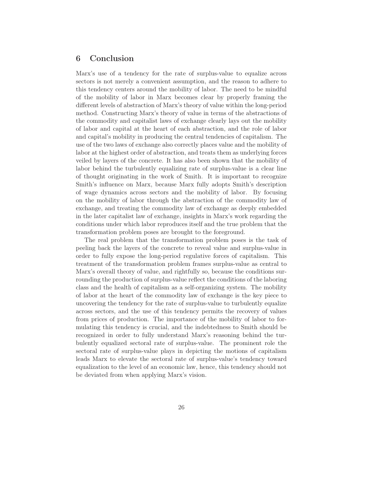## 6 Conclusion

Marx's use of a tendency for the rate of surplus-value to equalize across sectors is not merely a convenient assumption, and the reason to adhere to this tendency centers around the mobility of labor. The need to be mindful of the mobility of labor in Marx becomes clear by properly framing the different levels of abstraction of Marx's theory of value within the long-period method. Constructing Marx's theory of value in terms of the abstractions of the commodity and capitalist laws of exchange clearly lays out the mobility of labor and capital at the heart of each abstraction, and the role of labor and capital's mobility in producing the central tendencies of capitalism. The use of the two laws of exchange also correctly places value and the mobility of labor at the highest order of abstraction, and treats them as underlying forces veiled by layers of the concrete. It has also been shown that the mobility of labor behind the turbulently equalizing rate of surplus-value is a clear line of thought originating in the work of Smith. It is important to recognize Smith's influence on Marx, because Marx fully adopts Smith's description of wage dynamics across sectors and the mobility of labor. By focusing on the mobility of labor through the abstraction of the commodity law of exchange, and treating the commodity law of exchange as deeply embedded in the later capitalist law of exchange, insights in Marx's work regarding the conditions under which labor reproduces itself and the true problem that the transformation problem poses are brought to the foreground.

The real problem that the transformation problem poses is the task of peeling back the layers of the concrete to reveal value and surplus-value in order to fully expose the long-period regulative forces of capitalism. This treatment of the transformation problem frames surplus-value as central to Marx's overall theory of value, and rightfully so, because the conditions surrounding the production of surplus-value reflect the conditions of the laboring class and the health of capitalism as a self-organizing system. The mobility of labor at the heart of the commodity law of exchange is the key piece to uncovering the tendency for the rate of surplus-value to turbulently equalize across sectors, and the use of this tendency permits the recovery of values from prices of production. The importance of the mobility of labor to formulating this tendency is crucial, and the indebtedness to Smith should be recognized in order to fully understand Marx's reasoning behind the turbulently equalized sectoral rate of surplus-value. The prominent role the sectoral rate of surplus-value plays in depicting the motions of capitalism leads Marx to elevate the sectoral rate of surplus-value's tendency toward equalization to the level of an economic law, hence, this tendency should not be deviated from when applying Marx's vision.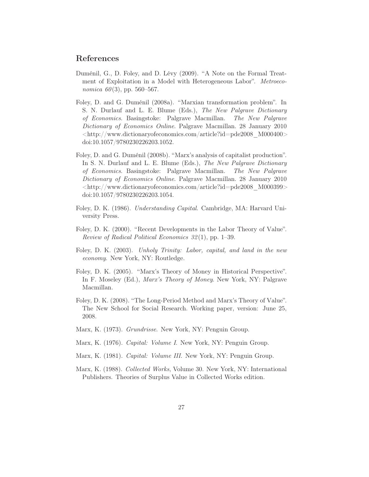### References

- Duménil, G., D. Foley, and D. Lévy (2009). "A Note on the Formal Treatment of Exploitation in a Model with Heterogeneous Labor". Metroeconomica  $60(3)$ , pp. 560–567.
- Foley, D. and G. Duménil (2008a). "Marxian transformation problem". In S. N. Durlauf and L. E. Blume (Eds.), The New Palgrave Dictionary of Economics. Basingstoke: Palgrave Macmillan. The New Palgrave Dictionary of Economics Online. Palgrave Macmillan. 28 January 2010 <http://www.dictionaryofeconomics.com/article?id=pde2008\_M000400> doi:10.1057/9780230226203.1052.
- Foley, D. and G. Duménil (2008b). "Marx's analysis of capitalist production". In S. N. Durlauf and L. E. Blume (Eds.), The New Palgrave Dictionary of Economics. Basingstoke: Palgrave Macmillan. The New Palgrave Dictionary of Economics Online. Palgrave Macmillan. 28 January 2010  $\langle$ http://www.dictionaryofeconomics.com/article?id=pde2008\_M000399> doi:10.1057/9780230226203.1054.
- Foley, D. K. (1986). Understanding Capital. Cambridge, MA: Harvard University Press.
- Foley, D. K. (2000). "Recent Developments in the Labor Theory of Value". Review of Radical Political Economics 32 (1), pp. 1–39.
- Foley, D. K. (2003). Unholy Trinity: Labor, capital, and land in the new economy. New York, NY: Routledge.
- Foley, D. K. (2005). "Marx's Theory of Money in Historical Perspective". In F. Moseley (Ed.), Marx's Theory of Money. New York, NY: Palgrave Macmillan.
- Foley, D. K. (2008). "The Long-Period Method and Marx's Theory of Value". The New School for Social Research. Working paper, version: June 25, 2008.
- Marx, K. (1973). Grundrisse. New York, NY: Penguin Group.
- Marx, K. (1976). *Capital: Volume I.* New York, NY: Penguin Group.
- Marx, K. (1981). Capital: Volume III. New York, NY: Penguin Group.
- Marx, K. (1988). Collected Works, Volume 30. New York, NY: International Publishers. Theories of Surplus Value in Collected Works edition.